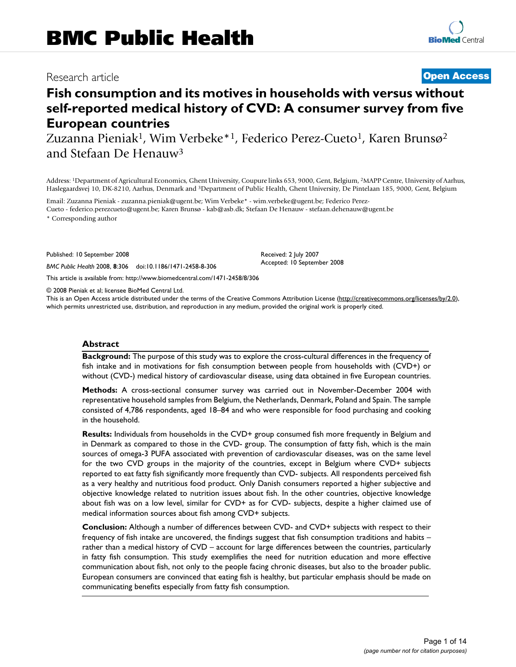## Research article **[Open Access](http://www.biomedcentral.com/info/about/charter/)**

# **Fish consumption and its motives in households with versus without self-reported medical history of CVD: A consumer survey from five European countries**

Zuzanna Pieniak<sup>1</sup>, Wim Verbeke<sup>\*1</sup>, Federico Perez-Cueto<sup>1</sup>, Karen Brunsø<sup>2</sup> and Stefaan De Henauw3

Address: 1Department of Agricultural Economics, Ghent University, Coupure links 653, 9000, Gent, Belgium, 2MAPP Centre, University of Aarhus, Haslegaardsvej 10, DK-8210, Aarhus, Denmark and 3Department of Public Health, Ghent University, De Pintelaan 185, 9000, Gent, Belgium

Email: Zuzanna Pieniak - zuzanna.pieniak@ugent.be; Wim Verbeke\* - wim.verbeke@ugent.be; Federico Perez-Cueto - federico.perezcueto@ugent.be; Karen Brunsø - kab@asb.dk; Stefaan De Henauw - stefaan.dehenauw@ugent.be \* Corresponding author

Published: 10 September 2008

*BMC Public Health* 2008, **8**:306 doi:10.1186/1471-2458-8-306

[This article is available from: http://www.biomedcentral.com/1471-2458/8/306](http://www.biomedcentral.com/1471-2458/8/306)

© 2008 Pieniak et al; licensee BioMed Central Ltd.

This is an Open Access article distributed under the terms of the Creative Commons Attribution License [\(http://creativecommons.org/licenses/by/2.0\)](http://creativecommons.org/licenses/by/2.0), which permits unrestricted use, distribution, and reproduction in any medium, provided the original work is properly cited.

Received: 2 July 2007 Accepted: 10 September 2008

#### **Abstract**

**Background:** The purpose of this study was to explore the cross-cultural differences in the frequency of fish intake and in motivations for fish consumption between people from households with (CVD+) or without (CVD-) medical history of cardiovascular disease, using data obtained in five European countries.

**Methods:** A cross-sectional consumer survey was carried out in November-December 2004 with representative household samples from Belgium, the Netherlands, Denmark, Poland and Spain. The sample consisted of 4,786 respondents, aged 18–84 and who were responsible for food purchasing and cooking in the household.

**Results:** Individuals from households in the CVD+ group consumed fish more frequently in Belgium and in Denmark as compared to those in the CVD- group. The consumption of fatty fish, which is the main sources of omega-3 PUFA associated with prevention of cardiovascular diseases, was on the same level for the two CVD groups in the majority of the countries, except in Belgium where CVD+ subjects reported to eat fatty fish significantly more frequently than CVD- subjects. All respondents perceived fish as a very healthy and nutritious food product. Only Danish consumers reported a higher subjective and objective knowledge related to nutrition issues about fish. In the other countries, objective knowledge about fish was on a low level, similar for CVD+ as for CVD- subjects, despite a higher claimed use of medical information sources about fish among CVD+ subjects.

**Conclusion:** Although a number of differences between CVD- and CVD+ subjects with respect to their frequency of fish intake are uncovered, the findings suggest that fish consumption traditions and habits – rather than a medical history of CVD – account for large differences between the countries, particularly in fatty fish consumption. This study exemplifies the need for nutrition education and more effective communication about fish, not only to the people facing chronic diseases, but also to the broader public. European consumers are convinced that eating fish is healthy, but particular emphasis should be made on communicating benefits especially from fatty fish consumption.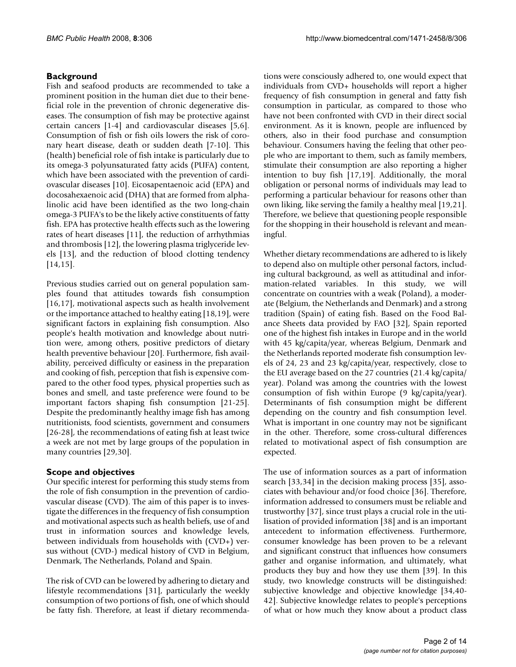### **Background**

Fish and seafood products are recommended to take a prominent position in the human diet due to their beneficial role in the prevention of chronic degenerative diseases. The consumption of fish may be protective against certain cancers [\[1](#page-11-0)-[4](#page-11-1)] and cardiovascular diseases [[5](#page-11-2),[6](#page-12-0)]. Consumption of fish or fish oils lowers the risk of coronary heart disease, death or sudden death [[7](#page-12-1)[-10](#page-12-2)]. This (health) beneficial role of fish intake is particularly due to its omega-3 polyunsaturated fatty acids (PUFA) content, which have been associated with the prevention of cardiovascular diseases [\[10\]](#page-12-2). Eicosapentaenoic acid (EPA) and docosahexaenoic acid (DHA) that are formed from alphalinolic acid have been identified as the two long-chain omega-3 PUFA's to be the likely active constituents of fatty fish. EPA has protective health effects such as the lowering rates of heart diseases [[11\]](#page-12-3), the reduction of arrhythmias and thrombosis [[12\]](#page-12-4), the lowering plasma triglyceride levels [\[13](#page-12-5)], and the reduction of blood clotting tendency [[14](#page-12-6),[15\]](#page-12-7).

Previous studies carried out on general population samples found that attitudes towards fish consumption [[16](#page-12-8),[17\]](#page-12-9), motivational aspects such as health involvement or the importance attached to healthy eating [\[18](#page-12-10),[19\]](#page-12-11), were significant factors in explaining fish consumption. Also people's health motivation and knowledge about nutrition were, among others, positive predictors of dietary health preventive behaviour [[20](#page-12-12)]. Furthermore, fish availability, perceived difficulty or easiness in the preparation and cooking of fish, perception that fish is expensive compared to the other food types, physical properties such as bones and smell, and taste preference were found to be important factors shaping fish consumption [\[21](#page-12-13)[-25](#page-12-14)]. Despite the predominantly healthy image fish has among nutritionists, food scientists, government and consumers [[26](#page-12-15)[-28](#page-12-16)], the recommendations of eating fish at least twice a week are not met by large groups of the population in many countries [\[29](#page-12-17)[,30](#page-12-18)].

### **Scope and objectives**

Our specific interest for performing this study stems from the role of fish consumption in the prevention of cardiovascular disease (CVD). The aim of this paper is to investigate the differences in the frequency of fish consumption and motivational aspects such as health beliefs, use of and trust in information sources and knowledge levels, between individuals from households with (CVD+) versus without (CVD-) medical history of CVD in Belgium, Denmark, The Netherlands, Poland and Spain.

The risk of CVD can be lowered by adhering to dietary and lifestyle recommendations [\[31\]](#page-12-19), particularly the weekly consumption of two portions of fish, one of which should be fatty fish. Therefore, at least if dietary recommendations were consciously adhered to, one would expect that individuals from CVD+ households will report a higher frequency of fish consumption in general and fatty fish consumption in particular, as compared to those who have not been confronted with CVD in their direct social environment. As it is known, people are influenced by others, also in their food purchase and consumption behaviour. Consumers having the feeling that other people who are important to them, such as family members, stimulate their consumption are also reporting a higher intention to buy fish [\[17](#page-12-9),[19\]](#page-12-11). Additionally, the moral obligation or personal norms of individuals may lead to performing a particular behaviour for reasons other than own liking, like serving the family a healthy meal [[19,](#page-12-11)[21](#page-12-13)]. Therefore, we believe that questioning people responsible for the shopping in their household is relevant and meaningful.

Whether dietary recommendations are adhered to is likely to depend also on multiple other personal factors, including cultural background, as well as attitudinal and information-related variables. In this study, we will concentrate on countries with a weak (Poland), a moderate (Belgium, the Netherlands and Denmark) and a strong tradition (Spain) of eating fish. Based on the Food Balance Sheets data provided by FAO [\[32\]](#page-12-20), Spain reported one of the highest fish intakes in Europe and in the world with 45 kg/capita/year, whereas Belgium, Denmark and the Netherlands reported moderate fish consumption levels of 24, 23 and 23 kg/capita/year, respectively, close to the EU average based on the 27 countries (21.4 kg/capita/ year). Poland was among the countries with the lowest consumption of fish within Europe (9 kg/capita/year). Determinants of fish consumption might be different depending on the country and fish consumption level. What is important in one country may not be significant in the other. Therefore, some cross-cultural differences related to motivational aspect of fish consumption are expected.

The use of information sources as a part of information search [[33,](#page-12-21)[34\]](#page-12-22) in the decision making process [\[35](#page-12-23)], associates with behaviour and/or food choice [\[36\]](#page-12-24). Therefore, information addressed to consumers must be reliable and trustworthy [[37\]](#page-12-25), since trust plays a crucial role in the utilisation of provided information [[38\]](#page-12-26) and is an important antecedent to information effectiveness. Furthermore, consumer knowledge has been proven to be a relevant and significant construct that influences how consumers gather and organise information, and ultimately, what products they buy and how they use them [\[39](#page-12-27)]. In this study, two knowledge constructs will be distinguished: subjective knowledge and objective knowledge [[34,](#page-12-22)[40-](#page-12-28) [42\]](#page-12-29). Subjective knowledge relates to people's perceptions of what or how much they know about a product class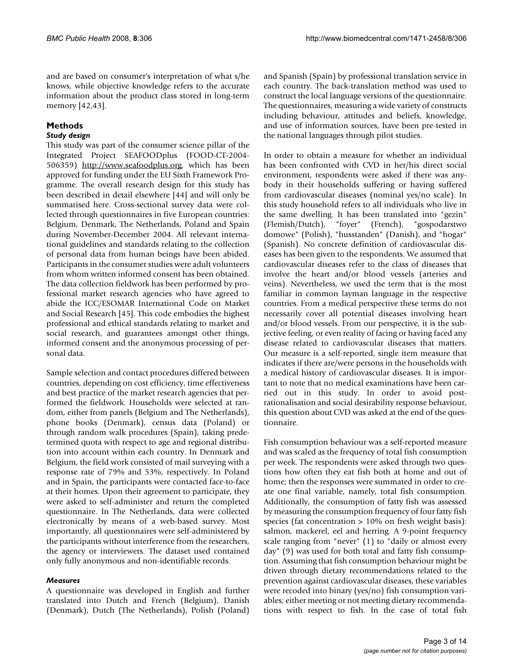and are based on consumer's interpretation of what s/he knows, while objective knowledge refers to the accurate information about the product class stored in long-term memory [[42](#page-12-29),[43\]](#page-12-30).

### **Methods**

### *Study design*

This study was part of the consumer science pillar of the Integrated Project SEAFOODplus (FOOD-CT-2004- 506359) [http://www.seafoodplus.org,](http://www.seafoodplus.org) which has been approved for funding under the EU Sixth Framework Programme. The overall research design for this study has been described in detail elsewhere [\[44](#page-12-31)] and will only be summarised here. Cross-sectional survey data were collected through questionnaires in five European countries: Belgium, Denmark, The Netherlands, Poland and Spain during November-December 2004. All relevant international guidelines and standards relating to the collection of personal data from human beings have been abided. Participants in the consumer studies were adult volunteers from whom written informed consent has been obtained. The data collection fieldwork has been performed by professional market research agencies who have agreed to abide the ICC/ESOMAR International Code on Market and Social Research [\[45\]](#page-12-32). This code embodies the highest professional and ethical standards relating to market and social research, and guarantees amongst other things, informed consent and the anonymous processing of personal data.

Sample selection and contact procedures differed between countries, depending on cost efficiency, time effectiveness and best practice of the market research agencies that performed the fieldwork. Households were selected at random, either from panels (Belgium and The Netherlands), phone books (Denmark), census data (Poland) or through random walk procedures (Spain), taking predetermined quota with respect to age and regional distribution into account within each country. In Denmark and Belgium, the field work consisted of mail surveying with a response rate of 79% and 53%, respectively. In Poland and in Spain, the participants were contacted face-to-face at their homes. Upon their agreement to participate, they were asked to self-administer and return the completed questionnaire. In The Netherlands, data were collected electronically by means of a web-based survey. Most importantly, all questionnaires were self-administered by the participants without interference from the researchers, the agency or interviewers. The dataset used contained only fully anonymous and non-identifiable records.

### *Measures*

A questionnaire was developed in English and further translated into Dutch and French (Belgium), Danish (Denmark), Dutch (The Netherlands), Polish (Poland)

and Spanish (Spain) by professional translation service in each country. The back-translation method was used to construct the local language versions of the questionnaire. The questionnaires, measuring a wide variety of constructs including behaviour, attitudes and beliefs, knowledge, and use of information sources, have been pre-tested in the national languages through pilot studies.

In order to obtain a measure for whether an individual has been confronted with CVD in her/his direct social environment, respondents were asked if there was anybody in their households suffering or having suffered from cardiovascular diseases (nominal yes/no scale). In this study household refers to all individuals who live in the same dwelling. It has been translated into "gezin" (Flemish/Dutch), "foyer" (French), "gospodarstwo domowe" (Polish), "husstanden" (Danish), and "hogar" (Spanish). No concrete definition of cardiovascular diseases has been given to the respondents. We assumed that cardiovascular diseases refer to the class of diseases that involve the heart and/or blood vessels (arteries and veins). Nevertheless, we used the term that is the most familiar in common layman language in the respective countries. From a medical perspective these terms do not necessarily cover all potential diseases involving heart and/or blood vessels. From our perspective, it is the subjective feeling, or even reality of facing or having faced any disease related to cardiovascular diseases that matters. Our measure is a self-reported, single item measure that indicates if there are/were persons in the households with a medical history of cardiovascular diseases. It is important to note that no medical examinations have been carried out in this study. In order to avoid postrationalisation and social desirability response behaviour, this question about CVD was asked at the end of the questionnaire.

Fish consumption behaviour was a self-reported measure and was scaled as the frequency of total fish consumption per week. The respondents were asked through two questions how often they eat fish both at home and out of home; then the responses were summated in order to create one final variable, namely, total fish consumption. Additionally, the consumption of fatty fish was assessed by measuring the consumption frequency of four fatty fish species (fat concentration > 10% on fresh weight basis): salmon, mackerel, eel and herring. A 9-point frequency scale ranging from "never" (1) to "daily or almost every day" (9) was used for both total and fatty fish consumption. Assuming that fish consumption behaviour might be driven through dietary recommendations related to the prevention against cardiovascular diseases, these variables were recoded into binary (yes/no) fish consumption variables; either meeting or not meeting dietary recommendations with respect to fish. In the case of total fish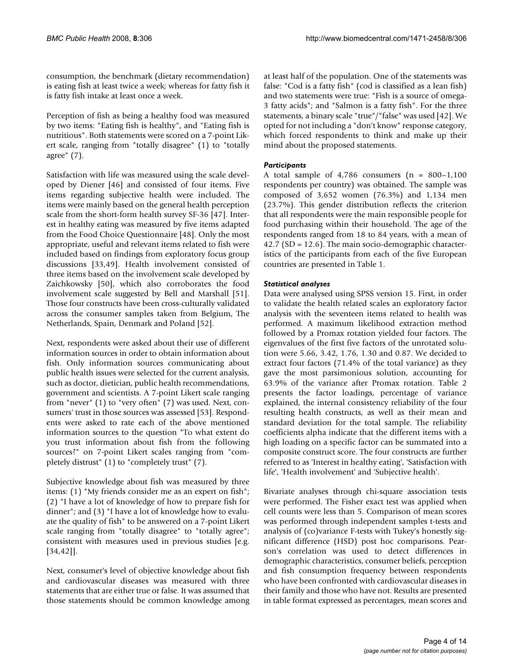consumption, the benchmark (dietary recommendation) is eating fish at least twice a week; whereas for fatty fish it is fatty fish intake at least once a week.

Perception of fish as being a healthy food was measured by two items: "Eating fish is healthy", and "Eating fish is nutritious". Both statements were scored on a 7-point Likert scale, ranging from "totally disagree" (1) to "totally agree" (7).

Satisfaction with life was measured using the scale developed by Diener [[46\]](#page-12-33) and consisted of four items. Five items regarding subjective health were included. The items were mainly based on the general health perception scale from the short-form health survey SF-36 [[47](#page-12-34)]. Interest in healthy eating was measured by five items adapted from the Food Choice Questionnaire [\[48](#page-12-35)]. Only the most appropriate, useful and relevant items related to fish were included based on findings from exploratory focus group discussions [\[33](#page-12-21),[49](#page-12-36)]. Health involvement consisted of three items based on the involvement scale developed by Zaichkowsky [\[50](#page-12-37)], which also corroborates the food involvement scale suggested by Bell and Marshall [\[51](#page-12-38)]. Those four constructs have been cross-culturally validated across the consumer samples taken from Belgium, The Netherlands, Spain, Denmark and Poland [\[52](#page-12-39)].

Next, respondents were asked about their use of different information sources in order to obtain information about fish. Only information sources communicating about public health issues were selected for the current analysis, such as doctor, dietician, public health recommendations, government and scientists. A 7-point Likert scale ranging from "never" (1) to "very often" (7) was used. Next, consumers' trust in those sources was assessed [\[53](#page-13-0)]. Respondents were asked to rate each of the above mentioned information sources to the question "To what extent do you trust information about fish from the following sources?" on 7-point Likert scales ranging from "completely distrust" (1) to "completely trust" (7).

Subjective knowledge about fish was measured by three items: (1) "My friends consider me as an expert on fish"; (2) "I have a lot of knowledge of how to prepare fish for dinner"; and (3) "I have a lot of knowledge how to evaluate the quality of fish" to be answered on a 7-point Likert scale ranging from "totally disagree" to "totally agree"; consistent with measures used in previous studies [e.g. [[34](#page-12-22),[42\]](#page-12-29)].

Next, consumer's level of objective knowledge about fish and cardiovascular diseases was measured with three statements that are either true or false. It was assumed that those statements should be common knowledge among at least half of the population. One of the statements was false: "Cod is a fatty fish" (cod is classified as a lean fish) and two statements were true: "Fish is a source of omega-3 fatty acids"; and "Salmon is a fatty fish". For the three statements, a binary scale "true"/"false" was used [[42\]](#page-12-29). We opted for not including a "don't know" response category, which forced respondents to think and make up their mind about the proposed statements.

### *Participants*

A total sample of  $4,786$  consumers  $(n = 800-1,100)$ respondents per country) was obtained. The sample was composed of 3,652 women (76.3%) and 1,134 men (23.7%). This gender distribution reflects the criterion that all respondents were the main responsible people for food purchasing within their household. The age of the respondents ranged from 18 to 84 years, with a mean of 42.7 (SD = 12.6). The main socio-demographic characteristics of the participants from each of the five European countries are presented in Table [1.](#page-4-0)

#### *Statistical analyses*

Data were analysed using SPSS version 15. First, in order to validate the health related scales an exploratory factor analysis with the seventeen items related to health was performed. A maximum likelihood extraction method followed by a Promax rotation yielded four factors. The eigenvalues of the first five factors of the unrotated solution were 5.66, 3.42, 1.76, 1.30 and 0.87. We decided to extract four factors (71.4% of the total variance) as they gave the most parsimonious solution, accounting for 63.9% of the variance after Promax rotation. Table [2](#page-4-1) presents the factor loadings, percentage of variance explained, the internal consistency reliability of the four resulting health constructs, as well as their mean and standard deviation for the total sample. The reliability coefficients alpha indicate that the different items with a high loading on a specific factor can be summated into a composite construct score. The four constructs are further referred to as 'Interest in healthy eating', 'Satisfaction with life', 'Health involvement' and 'Subjective health'.

Bivariate analyses through chi-square association tests were performed. The Fisher exact test was applied when cell counts were less than 5. Comparison of mean scores was performed through independent samples t-tests and analysis of (co)variance F-tests with Tukey's honestly significant difference (HSD) post hoc comparisons. Pearson's correlation was used to detect differences in demographic characteristics, consumer beliefs, perception and fish consumption frequency between respondents who have been confronted with cardiovascular diseases in their family and those who have not. Results are presented in table format expressed as percentages, mean scores and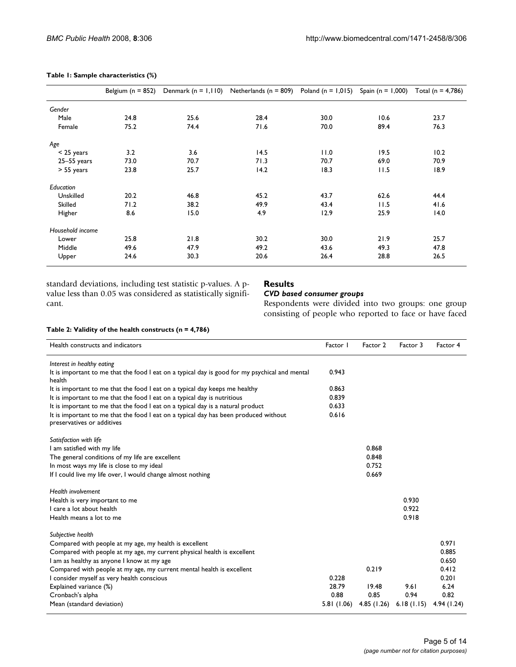|                  | Belgium ( $n = 852$ ) |      | Denmark (n = 1,110) Netherlands (n = 809) Poland (n = 1,015) Spain (n = 1,000) |      |      | Total ( $n = 4,786$ ) |
|------------------|-----------------------|------|--------------------------------------------------------------------------------|------|------|-----------------------|
| Gender           |                       |      |                                                                                |      |      |                       |
| Male             | 24.8                  | 25.6 | 28.4                                                                           | 30.0 | 10.6 | 23.7                  |
| Female           | 75.2                  | 74.4 | 71.6                                                                           | 70.0 | 89.4 | 76.3                  |
| Age              |                       |      |                                                                                |      |      |                       |
| $<$ 25 years     | 3.2                   | 3.6  | 14.5                                                                           | 11.0 | 19.5 | 10.2                  |
| $25 - 55$ years  | 73.0                  | 70.7 | 71.3                                                                           | 70.7 | 69.0 | 70.9                  |
| > 55 years       | 23.8                  | 25.7 | 14.2                                                                           | 18.3 | 11.5 | 18.9                  |
| Education        |                       |      |                                                                                |      |      |                       |
| Unskilled        | 20.2                  | 46.8 | 45.2                                                                           | 43.7 | 62.6 | 44.4                  |
| Skilled          | 71.2                  | 38.2 | 49.9                                                                           | 43.4 | 11.5 | 41.6                  |
| Higher           | 8.6                   | 15.0 | 4.9                                                                            | 12.9 | 25.9 | 14.0                  |
| Household income |                       |      |                                                                                |      |      |                       |
| Lower            | 25.8                  | 21.8 | 30.2                                                                           | 30.0 | 21.9 | 25.7                  |
| Middle           | 49.6                  | 47.9 | 49.2                                                                           | 43.6 | 49.3 | 47.8                  |
| Upper            | 24.6                  | 30.3 | 20.6                                                                           | 26.4 | 28.8 | 26.5                  |

#### <span id="page-4-0"></span>**Table 1: Sample characteristics (%)**

standard deviations, including test statistic p-values. A pvalue less than 0.05 was considered as statistically significant.

# **Results**

### *CVD based consumer groups*

Respondents were divided into two groups: one group consisting of people who reported to face or have faced

#### <span id="page-4-1"></span>**Table 2: Validity of the health constructs (n = 4,786)**

| Health constructs and indicators                                                                                   | Factor I   | Factor 2   | Factor 3   | Factor 4   |
|--------------------------------------------------------------------------------------------------------------------|------------|------------|------------|------------|
| Interest in healthy eating                                                                                         |            |            |            |            |
| It is important to me that the food I eat on a typical day is good for my psychical and mental<br>health           | 0.943      |            |            |            |
| It is important to me that the food I eat on a typical day keeps me healthy                                        | 0.863      |            |            |            |
| It is important to me that the food I eat on a typical day is nutritious                                           | 0.839      |            |            |            |
| It is important to me that the food I eat on a typical day is a natural product                                    | 0.633      |            |            |            |
| It is important to me that the food I eat on a typical day has been produced without<br>preservatives or additives | 0.616      |            |            |            |
| Satisfaction with life                                                                                             |            |            |            |            |
| I am satisfied with my life                                                                                        |            | 0.868      |            |            |
| The general conditions of my life are excellent                                                                    |            | 0.848      |            |            |
| In most ways my life is close to my ideal                                                                          |            | 0.752      |            |            |
| If I could live my life over, I would change almost nothing                                                        |            | 0.669      |            |            |
| Health involvement                                                                                                 |            |            |            |            |
| Health is very important to me                                                                                     |            |            | 0.930      |            |
| I care a lot about health                                                                                          |            |            | 0.922      |            |
| Health means a lot to me                                                                                           |            |            | 0.918      |            |
| Subjective health                                                                                                  |            |            |            |            |
| Compared with people at my age, my health is excellent                                                             |            |            |            | 0.971      |
| Compared with people at my age, my current physical health is excellent                                            |            |            |            | 0.885      |
| I am as healthy as anyone I know at my age                                                                         |            |            |            | 0.650      |
| Compared with people at my age, my current mental health is excellent                                              |            | 0.219      |            | 0.412      |
| I consider myself as very health conscious                                                                         | 0.228      |            |            | 0.201      |
| Explained variance (%)                                                                                             | 28.79      | 19.48      | 9.61       | 6.24       |
| Cronbach's alpha                                                                                                   | 0.88       | 0.85       | 0.94       | 0.82       |
| Mean (standard deviation)                                                                                          | 5.81(1.06) | 4.85(1.26) | 6.18(1.15) | 4.94(1.24) |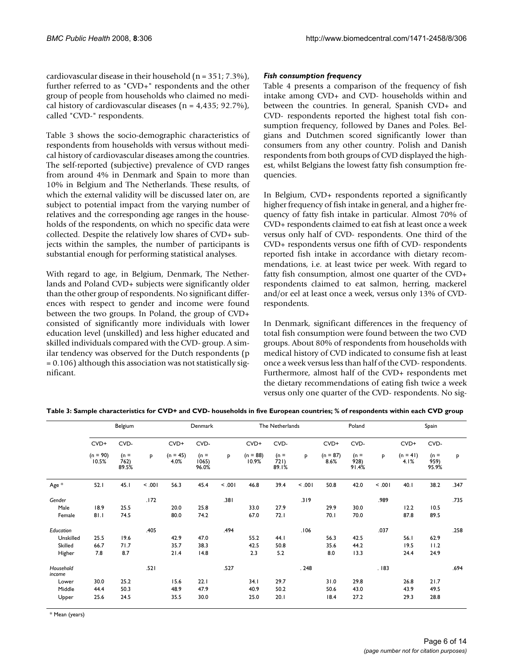cardiovascular disease in their household (n = 351; 7.3%), further referred to as "CVD+" respondents and the other group of people from households who claimed no medical history of cardiovascular diseases ( $n = 4,435; 92.7\%$ ), called "CVD-" respondents.

Table [3](#page-5-0) shows the socio-demographic characteristics of respondents from households with versus without medical history of cardiovascular diseases among the countries. The self-reported (subjective) prevalence of CVD ranges from around 4% in Denmark and Spain to more than 10% in Belgium and The Netherlands. These results, of which the external validity will be discussed later on, are subject to potential impact from the varying number of relatives and the corresponding age ranges in the households of the respondents, on which no specific data were collected. Despite the relatively low shares of CVD+ subjects within the samples, the number of participants is substantial enough for performing statistical analyses.

With regard to age, in Belgium, Denmark, The Netherlands and Poland CVD+ subjects were significantly older than the other group of respondents. No significant differences with respect to gender and income were found between the two groups. In Poland, the group of CVD+ consisted of significantly more individuals with lower education level (unskilled) and less higher educated and skilled individuals compared with the CVD- group. A similar tendency was observed for the Dutch respondents (p = 0.106) although this association was not statistically significant.

### *Fish consumption frequency*

Table [4](#page-6-0) presents a comparison of the frequency of fish intake among CVD+ and CVD- households within and between the countries. In general, Spanish CVD+ and CVD- respondents reported the highest total fish consumption frequency, followed by Danes and Poles. Belgians and Dutchmen scored significantly lower than consumers from any other country. Polish and Danish respondents from both groups of CVD displayed the highest, whilst Belgians the lowest fatty fish consumption frequencies.

In Belgium, CVD+ respondents reported a significantly higher frequency of fish intake in general, and a higher frequency of fatty fish intake in particular. Almost 70% of CVD+ respondents claimed to eat fish at least once a week versus only half of CVD- respondents. One third of the CVD+ respondents versus one fifth of CVD- respondents reported fish intake in accordance with dietary recommendations, i.e. at least twice per week. With regard to fatty fish consumption, almost one quarter of the CVD+ respondents claimed to eat salmon, herring, mackerel and/or eel at least once a week, versus only 13% of CVDrespondents.

In Denmark, significant differences in the frequency of total fish consumption were found between the two CVD groups. About 80% of respondents from households with medical history of CVD indicated to consume fish at least once a week versus less than half of the CVD- respondents. Furthermore, almost half of the CVD+ respondents met the dietary recommendations of eating fish twice a week versus only one quarter of the CVD- respondents. No sig-

<span id="page-5-0"></span>

| Table 3: Sample characteristics for CVD+ and CVD- households in five European countries; % of respondents within each CVD group |  |  |
|---------------------------------------------------------------------------------------------------------------------------------|--|--|
|                                                                                                                                 |  |  |

|                     |                     | Belgium                 |        |                    | Denmark                 |        |                     | The Netherlands         |        |                    | Poland                  |        |                    | Spain                   |      |
|---------------------|---------------------|-------------------------|--------|--------------------|-------------------------|--------|---------------------|-------------------------|--------|--------------------|-------------------------|--------|--------------------|-------------------------|------|
|                     | $CVD+$              | CVD-                    |        | $CVD+$             | CVD-                    |        | $CVD+$              | CVD-                    |        | $CVD+$             | CVD-                    |        | $CVD+$             | CVD-                    |      |
|                     | $(n = 90)$<br>10.5% | $(n =$<br>762)<br>89.5% | P      | $(n = 45)$<br>4.0% | $(n =$<br>1065<br>96.0% | P      | $(n = 88)$<br>10.9% | $(n =$<br>72I)<br>89.1% | P      | $(n = 87)$<br>8.6% | $(n =$<br>928)<br>91.4% | P      | $(n = 41)$<br>4.1% | $(n =$<br>959)<br>95.9% | P    |
| Age *               | 52.1                | 45.1                    | < 0.01 | 56.3               | 45.4                    | < 0.01 | 46.8                | 39.4                    | < 0.01 | 50.8               | 42.0                    | < .001 | 40.1               | 38.2                    | .347 |
| Gender              |                     |                         | .172   |                    |                         | .381   |                     |                         | .319   |                    |                         | .989   |                    |                         | .735 |
| Male                | 18.9                | 25.5                    |        | 20.0               | 25.8                    |        | 33.0                | 27.9                    |        | 29.9               | 30.0                    |        | 12.2               | 10.5                    |      |
| Female              | 81.1                | 74.5                    |        | 80.0               | 74.2                    |        | 67.0                | 72.1                    |        | 70.1               | 70.0                    |        | 87.8               | 89.5                    |      |
| Education           |                     |                         | .405   |                    |                         | .494   |                     |                         | .106   |                    |                         | .037   |                    |                         | .258 |
| Unskilled           | 25.5                | 19.6                    |        | 42.9               | 47.0                    |        | 55.2                | 44.I                    |        | 56.3               | 42.5                    |        | 56.1               | 62.9                    |      |
| Skilled             | 66.7                | 71.7                    |        | 35.7               | 38.3                    |        | 42.5                | 50.8                    |        | 35.6               | 44.2                    |        | 19.5               | 11.2                    |      |
| Higher              | 7.8                 | 8.7                     |        | 21.4               | 14.8                    |        | 2.3                 | 5.2                     |        | 8.0                | 13.3                    |        | 24.4               | 24.9                    |      |
| Household<br>income |                     |                         | .521   |                    |                         | .527   |                     |                         | .248   |                    |                         | . 183  |                    |                         | .694 |
| Lower               | 30.0                | 25.2                    |        | 15.6               | 22.1                    |        | 34.1                | 29.7                    |        | 31.0               | 29.8                    |        | 26.8               | 21.7                    |      |
| Middle              | 44.4                | 50.3                    |        | 48.9               | 47.9                    |        | 40.9                | 50.2                    |        | 50.6               | 43.0                    |        | 43.9               | 49.5                    |      |
| Upper               | 25.6                | 24.5                    |        | 35.5               | 30.0                    |        | 25.0                | 20.1                    |        | 18.4               | 27.2                    |        | 29.3               | 28.8                    |      |

\* Mean (years)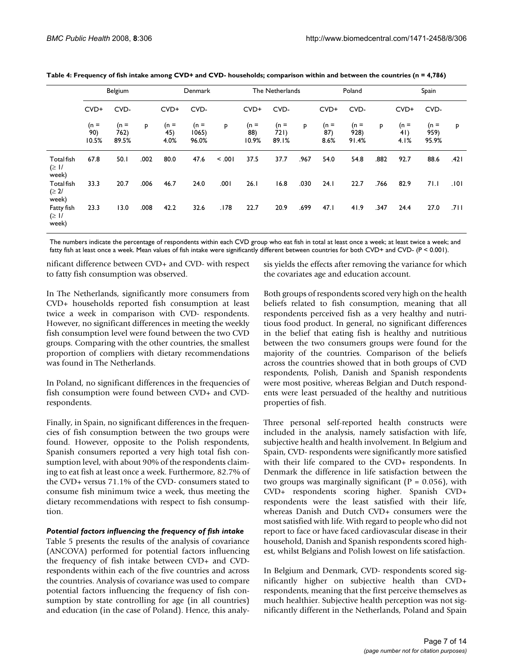|                                          |                        | Belgium                 |      |                       | Denmark                 |        |                        | The Netherlands         |      |                       | Poland                  |      |                       | Spain                   |       |
|------------------------------------------|------------------------|-------------------------|------|-----------------------|-------------------------|--------|------------------------|-------------------------|------|-----------------------|-------------------------|------|-----------------------|-------------------------|-------|
|                                          | $CVD+$                 | CVD-                    |      | $CVD+$                | CVD-                    |        | $CVD+$                 | CVD-                    |      | $CVD+$                | CVD-                    |      | $CVD+$                | CVD-                    |       |
|                                          | $(n =$<br>90)<br>10.5% | $(n =$<br>762)<br>89.5% | P    | $(n =$<br>45)<br>4.0% | $(n =$<br>1065<br>96.0% | P      | $(n =$<br>88)<br>10.9% | $(n =$<br>721)<br>89.1% | P    | $(n =$<br>87)<br>8.6% | $(n =$<br>928)<br>91.4% | P    | $(n =$<br>41)<br>4.1% | $(n =$<br>959)<br>95.9% | P     |
| <b>Total fish</b><br>$(\geq 1)$<br>week) | 67.8                   | 50.1                    | .002 | 80.0                  | 47.6                    | < 0.01 | 37.5                   | 37.7                    | .967 | 54.0                  | 54.8                    | .882 | 92.7                  | 88.6                    | .421  |
| <b>Total</b> fish<br>$(\geq 2)$<br>week) | 33.3                   | 20.7                    | .006 | 46.7                  | 24.0                    | .001   | 26.1                   | 16.8                    | .030 | 24.1                  | 22.7                    | .766 | 82.9                  | 71.1                    | .101  |
| Fatty fish<br>$(\geq 1)$<br>week)        | 23.3                   | 13.0                    | .008 | 42.2                  | 32.6                    | .178   | 22.7                   | 20.9                    | .699 | 47.1                  | 41.9                    | .347 | 24.4                  | 27.0                    | .71 L |

<span id="page-6-0"></span>**Table 4: Frequency of fish intake among CVD+ and CVD- households; comparison within and between the countries (n = 4,786)**

The numbers indicate the percentage of respondents within each CVD group who eat fish in total at least once a week; at least twice a week; and fatty fish at least once a week. Mean values of fish intake were significantly different between countries for both CVD+ and CVD- (P < 0.001).

nificant difference between CVD+ and CVD- with respect to fatty fish consumption was observed.

In The Netherlands, significantly more consumers from CVD+ households reported fish consumption at least twice a week in comparison with CVD- respondents. However, no significant differences in meeting the weekly fish consumption level were found between the two CVD groups. Comparing with the other countries, the smallest proportion of compliers with dietary recommendations was found in The Netherlands.

In Poland, no significant differences in the frequencies of fish consumption were found between CVD+ and CVDrespondents.

Finally, in Spain, no significant differences in the frequencies of fish consumption between the two groups were found. However, opposite to the Polish respondents, Spanish consumers reported a very high total fish consumption level, with about 90% of the respondents claiming to eat fish at least once a week. Furthermore, 82.7% of the CVD+ versus 71.1% of the CVD- consumers stated to consume fish minimum twice a week, thus meeting the dietary recommendations with respect to fish consumption.

### *Potential factors influencing the frequency of fish intake*

Table [5](#page-7-0) presents the results of the analysis of covariance (ANCOVA) performed for potential factors influencing the frequency of fish intake between CVD+ and CVDrespondents within each of the five countries and across the countries. Analysis of covariance was used to compare potential factors influencing the frequency of fish consumption by state controlling for age (in all countries) and education (in the case of Poland). Hence, this analysis yields the effects after removing the variance for which the covariates age and education account.

Both groups of respondents scored very high on the health beliefs related to fish consumption, meaning that all respondents perceived fish as a very healthy and nutritious food product. In general, no significant differences in the belief that eating fish is healthy and nutritious between the two consumers groups were found for the majority of the countries. Comparison of the beliefs across the countries showed that in both groups of CVD respondents, Polish, Danish and Spanish respondents were most positive, whereas Belgian and Dutch respondents were least persuaded of the healthy and nutritious properties of fish.

Three personal self-reported health constructs were included in the analysis, namely satisfaction with life, subjective health and health involvement. In Belgium and Spain, CVD- respondents were significantly more satisfied with their life compared to the CVD+ respondents. In Denmark the difference in life satisfaction between the two groups was marginally significant ( $P = 0.056$ ), with CVD+ respondents scoring higher. Spanish CVD+ respondents were the least satisfied with their life, whereas Danish and Dutch CVD+ consumers were the most satisfied with life. With regard to people who did not report to face or have faced cardiovascular disease in their household, Danish and Spanish respondents scored highest, whilst Belgians and Polish lowest on life satisfaction.

In Belgium and Denmark, CVD- respondents scored significantly higher on subjective health than CVD+ respondents, meaning that the first perceive themselves as much healthier. Subjective health perception was not significantly different in the Netherlands, Poland and Spain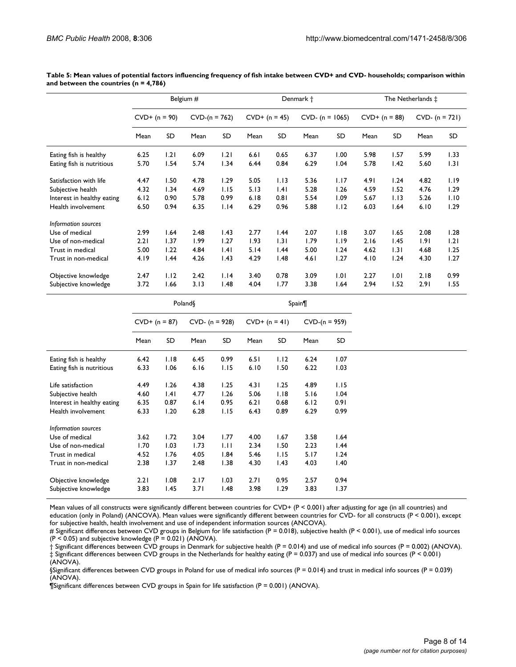|                            |                 |      | Belgium #       |      |                 |      | Denmark +          |      |                 |      | The Netherlands $\ddagger$ |      |
|----------------------------|-----------------|------|-----------------|------|-----------------|------|--------------------|------|-----------------|------|----------------------------|------|
|                            | $CVD+ (n = 90)$ |      | $CVD-(n = 762)$ |      | $CVD+ (n = 45)$ |      | $CVD - (n = 1065)$ |      | $CVD+ (n = 88)$ |      | $CVD - (n = 721)$          |      |
|                            | Mean            | SD   | Mean            | SD   | Mean            | SD   | Mean               | SD   | Mean            | SD   | Mean                       | SD   |
| Eating fish is healthy     | 6.25            | 1.21 | 6.09            | 1.21 | 6.61            | 0.65 | 6.37               | 1.00 | 5.98            | 1.57 | 5.99                       | 1.33 |
| Eating fish is nutritious  | 5.70            | 1.54 | 5.74            | 1.34 | 6.44            | 0.84 | 6.29               | 1.04 | 5.78            | 1.42 | 5.60                       | 1.31 |
| Satisfaction with life     | 4.47            | 1.50 | 4.78            | 1.29 | 5.05            | 1.13 | 5.36               | 1.17 | 4.91            | 1.24 | 4.82                       | 1.19 |
| Subjective health          | 4.32            | 1.34 | 4.69            | 1.15 | 5.13            | .4   | 5.28               | 1.26 | 4.59            | 1.52 | 4.76                       | 1.29 |
| Interest in healthy eating | 6.12            | 0.90 | 5.78            | 0.99 | 6.18            | 0.81 | 5.54               | 1.09 | 5.67            | 1.13 | 5.26                       | 1.10 |
| Health involvement         | 6.50            | 0.94 | 6.35            | 1.14 | 6.29            | 0.96 | 5.88               | 1.12 | 6.03            | 1.64 | 6.10                       | 1.29 |
| Information sources        |                 |      |                 |      |                 |      |                    |      |                 |      |                            |      |
| Use of medical             | 2.99            | 1.64 | 2.48            | 1.43 | 2.77            | 1.44 | 2.07               | 1.18 | 3.07            | 1.65 | 2.08                       | 1.28 |
| Use of non-medical         | 2.21            | 1.37 | 1.99            | 1.27 | 1.93            | 1.31 | 1.79               | 1.19 | 2.16            | 1.45 | 1.91                       | 1.21 |
| Trust in medical           | 5.00            | 1.22 | 4.84            | .4   | 5.14            | 1.44 | 5.00               | 1.24 | 4.62            | 1.31 | 4.68                       | 1.25 |
| Trust in non-medical       | 4.19            | 1.44 | 4.26            | 1.43 | 4.29            | 1.48 | 4.61               | 1.27 | 4.10            | 1.24 | 4.30                       | 1.27 |
| Objective knowledge        | 2.47            | 1.12 | 2.42            | 1.14 | 3.40            | 0.78 | 3.09               | 1.01 | 2.27            | 1.01 | 2.18                       | 0.99 |
| Subjective knowledge       | 3.72            | 1.66 | 3.13            | 1.48 | 4.04            | 1.77 | 3.38               | 1.64 | 2.94            | 1.52 | 2.91                       | 1.55 |

<span id="page-7-0"></span>**Table 5: Mean values of potential factors influencing frequency of fish intake between CVD+ and CVD- households; comparison within and between the countries (n = 4,786)**

|                            | Poland          |      |                  | Spain |                 |      |                 |      |
|----------------------------|-----------------|------|------------------|-------|-----------------|------|-----------------|------|
|                            | $CVD+ (n = 87)$ |      | $CVD- (n = 928)$ |       | $CVD+ (n = 41)$ |      | $CVD-(n = 959)$ |      |
|                            | Mean            | SD   | Mean             | SD    | Mean            | SD   | Mean            | SD   |
| Eating fish is healthy     | 6.42            | 1.18 | 6.45             | 0.99  | 6.51            | 1.12 | 6.24            | 1.07 |
| Eating fish is nutritious  | 6.33            | 1.06 | 6.16             | 1.15  | 6.10            | 1.50 | 6.22            | 1.03 |
| Life satisfaction          | 4.49            | 1.26 | 4.38             | 1.25  | 4.31            | 1.25 | 4.89            | 1.15 |
| Subjective health          | 4.60            | .4   | 4.77             | 1.26  | 5.06            | 1.18 | 5.16            | 1.04 |
| Interest in healthy eating | 6.35            | 0.87 | 6.14             | 0.95  | 6.21            | 0.68 | 6.12            | 0.91 |
| Health involvement         | 6.33            | 1.20 | 6.28             | 1.15  | 6.43            | 0.89 | 6.29            | 0.99 |
| Information sources        |                 |      |                  |       |                 |      |                 |      |
| Use of medical             | 3.62            | 1.72 | 3.04             | 1.77  | 4.00            | 1.67 | 3.58            | 1.64 |
| Use of non-medical         | 1.70            | 1.03 | 1.73             | 1.11  | 2.34            | 1.50 | 2.23            | 1.44 |
| Trust in medical           | 4.52            | 1.76 | 4.05             | 1.84  | 5.46            | 1.15 | 5.17            | 1.24 |
| Trust in non-medical       | 2.38            | 1.37 | 2.48             | 1.38  | 4.30            | 1.43 | 4.03            | 1.40 |
| Objective knowledge        | 2.21            | 1.08 | 2.17             | 1.03  | 2.71            | 0.95 | 2.57            | 0.94 |
| Subjective knowledge       | 3.83            | 1.45 | 3.71             | 1.48  | 3.98            | 1.29 | 3.83            | 1.37 |

Mean values of all constructs were significantly different between countries for CVD+ (P < 0.001) after adjusting for age (in all countries) and education (only in Poland) (ANCOVA). Mean values were significantly different between countries for CVD- for all constructs (P < 0.001), except for subjective health, health involvement and use of independent information sources (ANCOVA).

# Significant differences between CVD groups in Belgium for life satisfaction (P = 0.018), subjective health (P < 0.001), use of medical info sources  $(P < 0.05)$  and subjective knowledge  $(P = 0.021)$  (ANOVA).

† Significant differences between CVD groups in Denmark for subjective health (P = 0.014) and use of medical info sources (P = 0.002) (ANOVA). ‡ Significant differences between CVD groups in the Netherlands for healthy eating (P = 0.037) and use of medical info sources (P < 0.001) (ANOVA).

§Significant differences between CVD groups in Poland for use of medical info sources (P = 0.014) and trust in medical info sources (P = 0.039) (ANOVA).

¶Significant differences between CVD groups in Spain for life satisfaction (P = 0.001) (ANOVA).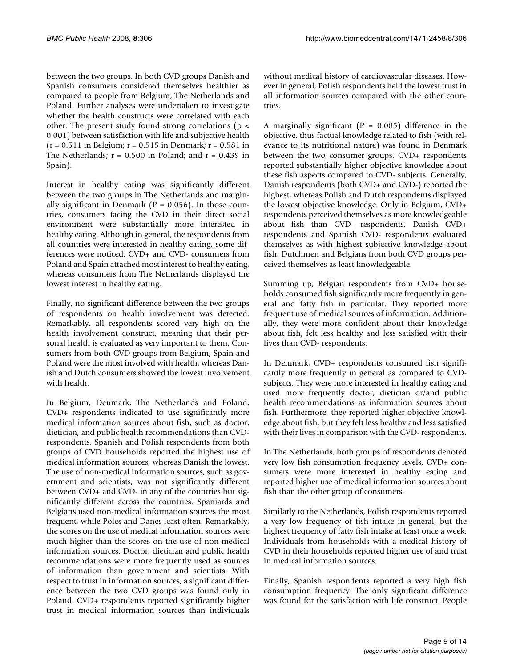between the two groups. In both CVD groups Danish and Spanish consumers considered themselves healthier as compared to people from Belgium, The Netherlands and Poland. Further analyses were undertaken to investigate whether the health constructs were correlated with each other. The present study found strong correlations (p < 0.001) between satisfaction with life and subjective health  $(r = 0.511$  in Belgium;  $r = 0.515$  in Denmark;  $r = 0.581$  in The Netherlands;  $r = 0.500$  in Poland; and  $r = 0.439$  in Spain).

Interest in healthy eating was significantly different between the two groups in The Netherlands and marginally significant in Denmark ( $P = 0.056$ ). In those countries, consumers facing the CVD in their direct social environment were substantially more interested in healthy eating. Although in general, the respondents from all countries were interested in healthy eating, some differences were noticed. CVD+ and CVD- consumers from Poland and Spain attached most interest to healthy eating, whereas consumers from The Netherlands displayed the lowest interest in healthy eating.

Finally, no significant difference between the two groups of respondents on health involvement was detected. Remarkably, all respondents scored very high on the health involvement construct, meaning that their personal health is evaluated as very important to them. Consumers from both CVD groups from Belgium, Spain and Poland were the most involved with health, whereas Danish and Dutch consumers showed the lowest involvement with health.

In Belgium, Denmark, The Netherlands and Poland, CVD+ respondents indicated to use significantly more medical information sources about fish, such as doctor, dietician, and public health recommendations than CVDrespondents. Spanish and Polish respondents from both groups of CVD households reported the highest use of medical information sources, whereas Danish the lowest. The use of non-medical information sources, such as government and scientists, was not significantly different between CVD+ and CVD- in any of the countries but significantly different across the countries. Spaniards and Belgians used non-medical information sources the most frequent, while Poles and Danes least often. Remarkably, the scores on the use of medical information sources were much higher than the scores on the use of non-medical information sources. Doctor, dietician and public health recommendations were more frequently used as sources of information than government and scientists. With respect to trust in information sources, a significant difference between the two CVD groups was found only in Poland. CVD+ respondents reported significantly higher trust in medical information sources than individuals without medical history of cardiovascular diseases. However in general, Polish respondents held the lowest trust in all information sources compared with the other countries.

A marginally significant ( $P = 0.085$ ) difference in the objective, thus factual knowledge related to fish (with relevance to its nutritional nature) was found in Denmark between the two consumer groups. CVD+ respondents reported substantially higher objective knowledge about these fish aspects compared to CVD- subjects. Generally, Danish respondents (both CVD+ and CVD-) reported the highest, whereas Polish and Dutch respondents displayed the lowest objective knowledge. Only in Belgium, CVD+ respondents perceived themselves as more knowledgeable about fish than CVD- respondents. Danish CVD+ respondents and Spanish CVD- respondents evaluated themselves as with highest subjective knowledge about fish. Dutchmen and Belgians from both CVD groups perceived themselves as least knowledgeable.

Summing up, Belgian respondents from CVD+ households consumed fish significantly more frequently in general and fatty fish in particular. They reported more frequent use of medical sources of information. Additionally, they were more confident about their knowledge about fish, felt less healthy and less satisfied with their lives than CVD- respondents.

In Denmark, CVD+ respondents consumed fish significantly more frequently in general as compared to CVDsubjects. They were more interested in healthy eating and used more frequently doctor, dietician or/and public health recommendations as information sources about fish. Furthermore, they reported higher objective knowledge about fish, but they felt less healthy and less satisfied with their lives in comparison with the CVD- respondents.

In The Netherlands, both groups of respondents denoted very low fish consumption frequency levels. CVD+ consumers were more interested in healthy eating and reported higher use of medical information sources about fish than the other group of consumers.

Similarly to the Netherlands, Polish respondents reported a very low frequency of fish intake in general, but the highest frequency of fatty fish intake at least once a week. Individuals from households with a medical history of CVD in their households reported higher use of and trust in medical information sources.

Finally, Spanish respondents reported a very high fish consumption frequency. The only significant difference was found for the satisfaction with life construct. People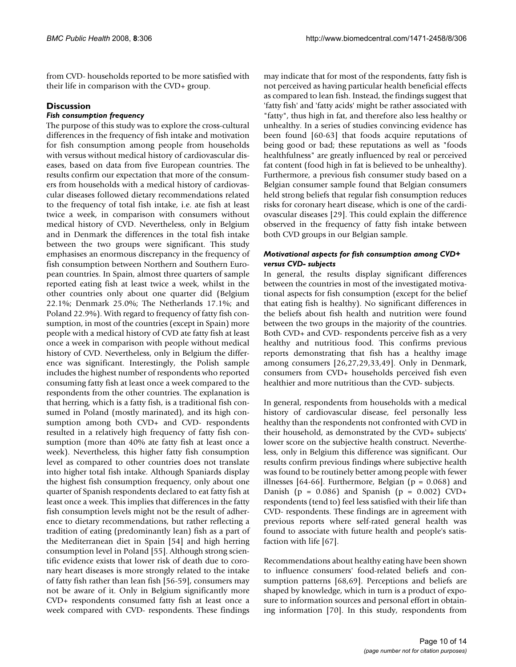from CVD- households reported to be more satisfied with their life in comparison with the CVD+ group.

### **Discussion**

### *Fish consumption frequency*

The purpose of this study was to explore the cross-cultural differences in the frequency of fish intake and motivation for fish consumption among people from households with versus without medical history of cardiovascular diseases, based on data from five European countries. The results confirm our expectation that more of the consumers from households with a medical history of cardiovascular diseases followed dietary recommendations related to the frequency of total fish intake, i.e. ate fish at least twice a week, in comparison with consumers without medical history of CVD. Nevertheless, only in Belgium and in Denmark the differences in the total fish intake between the two groups were significant. This study emphasises an enormous discrepancy in the frequency of fish consumption between Northern and Southern European countries. In Spain, almost three quarters of sample reported eating fish at least twice a week, whilst in the other countries only about one quarter did (Belgium 22.1%; Denmark 25.0%; The Netherlands 17.1%; and Poland 22.9%). With regard to frequency of fatty fish consumption, in most of the countries (except in Spain) more people with a medical history of CVD ate fatty fish at least once a week in comparison with people without medical history of CVD. Nevertheless, only in Belgium the difference was significant. Interestingly, the Polish sample includes the highest number of respondents who reported consuming fatty fish at least once a week compared to the respondents from the other countries. The explanation is that herring, which is a fatty fish, is a traditional fish consumed in Poland (mostly marinated), and its high consumption among both CVD+ and CVD- respondents resulted in a relatively high frequency of fatty fish consumption (more than 40% ate fatty fish at least once a week). Nevertheless, this higher fatty fish consumption level as compared to other countries does not translate into higher total fish intake. Although Spaniards display the highest fish consumption frequency, only about one quarter of Spanish respondents declared to eat fatty fish at least once a week. This implies that differences in the fatty fish consumption levels might not be the result of adherence to dietary recommendations, but rather reflecting a tradition of eating (predominantly lean) fish as a part of the Mediterranean diet in Spain [\[54](#page-13-1)] and high herring consumption level in Poland [\[55](#page-13-2)]. Although strong scientific evidence exists that lower risk of death due to coronary heart diseases is more strongly related to the intake of fatty fish rather than lean fish [[56-](#page-13-3)[59\]](#page-13-4), consumers may not be aware of it. Only in Belgium significantly more CVD+ respondents consumed fatty fish at least once a week compared with CVD- respondents. These findings

may indicate that for most of the respondents, fatty fish is not perceived as having particular health beneficial effects as compared to lean fish. Instead, the findings suggest that 'fatty fish' and 'fatty acids' might be rather associated with "fatty", thus high in fat, and therefore also less healthy or unhealthy. In a series of studies convincing evidence has been found [[60-](#page-13-5)[63](#page-13-6)] that foods acquire reputations of being good or bad; these reputations as well as "foods healthfulness" are greatly influenced by real or perceived fat content (food high in fat is believed to be unhealthy). Furthermore, a previous fish consumer study based on a Belgian consumer sample found that Belgian consumers held strong beliefs that regular fish consumption reduces risks for coronary heart disease, which is one of the cardiovascular diseases [\[29](#page-12-17)]. This could explain the difference observed in the frequency of fatty fish intake between both CVD groups in our Belgian sample.

### *Motivational aspects for fish consumption among CVD+ versus CVD- subjects*

In general, the results display significant differences between the countries in most of the investigated motivational aspects for fish consumption (except for the belief that eating fish is healthy). No significant differences in the beliefs about fish health and nutrition were found between the two groups in the majority of the countries. Both CVD+ and CVD- respondents perceive fish as a very healthy and nutritious food. This confirms previous reports demonstrating that fish has a healthy image among consumers [\[26](#page-12-15),[27,](#page-12-40)[29](#page-12-17)[,33](#page-12-21),[49\]](#page-12-36). Only in Denmark, consumers from CVD+ households perceived fish even healthier and more nutritious than the CVD- subjects.

In general, respondents from households with a medical history of cardiovascular disease, feel personally less healthy than the respondents not confronted with CVD in their household, as demonstrated by the CVD+ subjects' lower score on the subjective health construct. Nevertheless, only in Belgium this difference was significant. Our results confirm previous findings where subjective health was found to be routinely better among people with fewer illnesses [\[64-](#page-13-7)[66\]](#page-13-8). Furthermore, Belgian ( $p = 0.068$ ) and Danish ( $p = 0.086$ ) and Spanish ( $p = 0.002$ ) CVD+ respondents (tend to) feel less satisfied with their life than CVD- respondents. These findings are in agreement with previous reports where self-rated general health was found to associate with future health and people's satisfaction with life [[67](#page-13-9)].

Recommendations about healthy eating have been shown to influence consumers' food-related beliefs and consumption patterns [[68](#page-13-10),[69\]](#page-13-11). Perceptions and beliefs are shaped by knowledge, which in turn is a product of exposure to information sources and personal effort in obtaining information [[70\]](#page-13-12). In this study, respondents from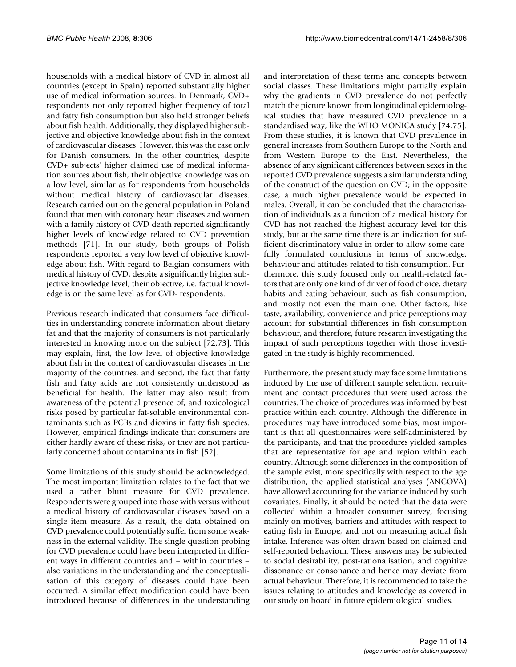households with a medical history of CVD in almost all countries (except in Spain) reported substantially higher use of medical information sources. In Denmark, CVD+ respondents not only reported higher frequency of total and fatty fish consumption but also held stronger beliefs about fish health. Additionally, they displayed higher subjective and objective knowledge about fish in the context of cardiovascular diseases. However, this was the case only for Danish consumers. In the other countries, despite CVD+ subjects' higher claimed use of medical information sources about fish, their objective knowledge was on a low level, similar as for respondents from households without medical history of cardiovascular diseases. Research carried out on the general population in Poland found that men with coronary heart diseases and women with a family history of CVD death reported significantly higher levels of knowledge related to CVD prevention methods [[71\]](#page-13-13). In our study, both groups of Polish respondents reported a very low level of objective knowledge about fish. With regard to Belgian consumers with medical history of CVD, despite a significantly higher subjective knowledge level, their objective, i.e. factual knowledge is on the same level as for CVD- respondents.

Previous research indicated that consumers face difficulties in understanding concrete information about dietary fat and that the majority of consumers is not particularly interested in knowing more on the subject [[72](#page-13-14)[,73](#page-13-15)]. This may explain, first, the low level of objective knowledge about fish in the context of cardiovascular diseases in the majority of the countries, and second, the fact that fatty fish and fatty acids are not consistently understood as beneficial for health. The latter may also result from awareness of the potential presence of, and toxicological risks posed by particular fat-soluble environmental contaminants such as PCBs and dioxins in fatty fish species. However, empirical findings indicate that consumers are either hardly aware of these risks, or they are not particularly concerned about contaminants in fish [\[52](#page-12-39)].

Some limitations of this study should be acknowledged. The most important limitation relates to the fact that we used a rather blunt measure for CVD prevalence. Respondents were grouped into those with versus without a medical history of cardiovascular diseases based on a single item measure. As a result, the data obtained on CVD prevalence could potentially suffer from some weakness in the external validity. The single question probing for CVD prevalence could have been interpreted in different ways in different countries and – within countries – also variations in the understanding and the conceptualisation of this category of diseases could have been occurred. A similar effect modification could have been introduced because of differences in the understanding and interpretation of these terms and concepts between social classes. These limitations might partially explain why the gradients in CVD prevalence do not perfectly match the picture known from longitudinal epidemiological studies that have measured CVD prevalence in a standardised way, like the WHO MONICA study [[74,](#page-13-16)[75](#page-13-17)]. From these studies, it is known that CVD prevalence in general increases from Southern Europe to the North and from Western Europe to the East. Nevertheless, the absence of any significant differences between sexes in the reported CVD prevalence suggests a similar understanding of the construct of the question on CVD; in the opposite case, a much higher prevalence would be expected in males. Overall, it can be concluded that the characterisation of individuals as a function of a medical history for CVD has not reached the highest accuracy level for this study, but at the same time there is an indication for sufficient discriminatory value in order to allow some carefully formulated conclusions in terms of knowledge, behaviour and attitudes related to fish consumption. Furthermore, this study focused only on health-related factors that are only one kind of driver of food choice, dietary habits and eating behaviour, such as fish consumption, and mostly not even the main one. Other factors, like taste, availability, convenience and price perceptions may account for substantial differences in fish consumption behaviour, and therefore, future research investigating the impact of such perceptions together with those investigated in the study is highly recommended.

Furthermore, the present study may face some limitations induced by the use of different sample selection, recruitment and contact procedures that were used across the countries. The choice of procedures was informed by best practice within each country. Although the difference in procedures may have introduced some bias, most important is that all questionnaires were self-administered by the participants, and that the procedures yielded samples that are representative for age and region within each country. Although some differences in the composition of the sample exist, more specifically with respect to the age distribution, the applied statistical analyses (ANCOVA) have allowed accounting for the variance induced by such covariates. Finally, it should be noted that the data were collected within a broader consumer survey, focusing mainly on motives, barriers and attitudes with respect to eating fish in Europe, and not on measuring actual fish intake. Inference was often drawn based on claimed and self-reported behaviour. These answers may be subjected to social desirability, post-rationalisation, and cognitive dissonance or consonance and hence may deviate from actual behaviour. Therefore, it is recommended to take the issues relating to attitudes and knowledge as covered in our study on board in future epidemiological studies.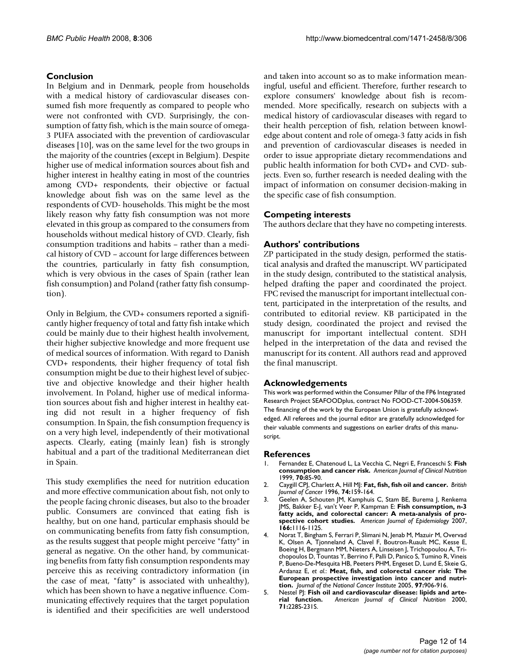### **Conclusion**

In Belgium and in Denmark, people from households with a medical history of cardiovascular diseases consumed fish more frequently as compared to people who were not confronted with CVD. Surprisingly, the consumption of fatty fish, which is the main source of omega-3 PUFA associated with the prevention of cardiovascular diseases [[10](#page-12-2)], was on the same level for the two groups in the majority of the countries (except in Belgium). Despite higher use of medical information sources about fish and higher interest in healthy eating in most of the countries among CVD+ respondents, their objective or factual knowledge about fish was on the same level as the respondents of CVD- households. This might be the most likely reason why fatty fish consumption was not more elevated in this group as compared to the consumers from households without medical history of CVD. Clearly, fish consumption traditions and habits – rather than a medical history of CVD – account for large differences between the countries, particularly in fatty fish consumption, which is very obvious in the cases of Spain (rather lean fish consumption) and Poland (rather fatty fish consumption).

Only in Belgium, the CVD+ consumers reported a significantly higher frequency of total and fatty fish intake which could be mainly due to their highest health involvement, their higher subjective knowledge and more frequent use of medical sources of information. With regard to Danish CVD+ respondents, their higher frequency of total fish consumption might be due to their highest level of subjective and objective knowledge and their higher health involvement. In Poland, higher use of medical information sources about fish and higher interest in healthy eating did not result in a higher frequency of fish consumption. In Spain, the fish consumption frequency is on a very high level, independently of their motivational aspects. Clearly, eating (mainly lean) fish is strongly habitual and a part of the traditional Mediterranean diet in Spain.

This study exemplifies the need for nutrition education and more effective communication about fish, not only to the people facing chronic diseases, but also to the broader public. Consumers are convinced that eating fish is healthy, but on one hand, particular emphasis should be on communicating benefits from fatty fish consumption, as the results suggest that people might perceive "fatty" in general as negative. On the other hand, by communicating benefits from fatty fish consumption respondents may perceive this as receiving contradictory information (in the case of meat, "fatty" is associated with unhealthy), which has been shown to have a negative influence. Communicating effectively requires that the target population is identified and their specificities are well understood

and taken into account so as to make information meaningful, useful and efficient. Therefore, further research to explore consumers' knowledge about fish is recommended. More specifically, research on subjects with a medical history of cardiovascular diseases with regard to their health perception of fish, relation between knowledge about content and role of omega-3 fatty acids in fish and prevention of cardiovascular diseases is needed in order to issue appropriate dietary recommendations and public health information for both CVD+ and CVD- subjects. Even so, further research is needed dealing with the impact of information on consumer decision-making in the specific case of fish consumption.

### **Competing interests**

The authors declare that they have no competing interests.

### **Authors' contributions**

ZP participated in the study design, performed the statistical analysis and drafted the manuscript. WV participated in the study design, contributed to the statistical analysis, helped drafting the paper and coordinated the project. FPC revised the manuscript for important intellectual content, participated in the interpretation of the results, and contributed to editorial review. KB participated in the study design, coordinated the project and revised the manuscript for important intellectual content. SDH helped in the interpretation of the data and revised the manuscript for its content. All authors read and approved the final manuscript.

### **Acknowledgements**

This work was performed within the Consumer Pillar of the FP6 Integrated Research Project SEAFOODplus, contract No FOOD-CT-2004-506359. The financing of the work by the European Union is gratefully acknowledged. All referees and the journal editor are gratefully acknowledged for their valuable comments and suggestions on earlier drafts of this manuscript.

#### **References**

- <span id="page-11-0"></span>1. Fernandez E, Chatenoud L, La Vecchia C, Negri E, Franceschi S: **[Fish](http://www.ncbi.nlm.nih.gov/entrez/query.fcgi?cmd=Retrieve&db=PubMed&dopt=Abstract&list_uids=10393143) [consumption and cancer risk.](http://www.ncbi.nlm.nih.gov/entrez/query.fcgi?cmd=Retrieve&db=PubMed&dopt=Abstract&list_uids=10393143)** *American Journal of Clinical Nutrition* 1999, **70:**85-90.
- 2. Caygill CPJ, Charlett A, Hill MJ: **[Fat, fish, fish oil and cancer.](http://www.ncbi.nlm.nih.gov/entrez/query.fcgi?cmd=Retrieve&db=PubMed&dopt=Abstract&list_uids=8679451)** *British Journal of Cancer* 1996, **74:**159-164.
- 3. Geelen A, Schouten JM, Kamphuis C, Stam BE, Burema J, Renkema JMS, Bakker E-J, van't Veer P, Kampman E: **[Fish consumption, n-3](http://www.ncbi.nlm.nih.gov/entrez/query.fcgi?cmd=Retrieve&db=PubMed&dopt=Abstract&list_uids=17823383) [fatty acids, and colorectal cancer: A meta-analysis of pro](http://www.ncbi.nlm.nih.gov/entrez/query.fcgi?cmd=Retrieve&db=PubMed&dopt=Abstract&list_uids=17823383)[spective cohort studies.](http://www.ncbi.nlm.nih.gov/entrez/query.fcgi?cmd=Retrieve&db=PubMed&dopt=Abstract&list_uids=17823383)** *American Journal of Epidemiology* 2007, **166:**1116-1125.
- <span id="page-11-1"></span>4. Norat T, Bingham S, Ferrari P, Slimani N, Jenab M, Mazuir M, Overvad K, Olsen A, Tjonneland A, Clavel F, Boutron-Ruault MC, Kesse E, Boeing H, Bergmann MM, Nieters A, Linseisen J, Trichopoulou A, Trichopoulos D, Tountas Y, Berrino F, Palli D, Panico S, Tumino R, Vineis P, Bueno-De-Mesquita HB, Peeters PHM, Engeset D, Lund E, Skeie G, Ardanaz E, *et al.*: **[Meat, fish, and colorectal cancer risk: The](http://www.ncbi.nlm.nih.gov/entrez/query.fcgi?cmd=Retrieve&db=PubMed&dopt=Abstract&list_uids=15956652) [European prospective investigation into cancer and nutri](http://www.ncbi.nlm.nih.gov/entrez/query.fcgi?cmd=Retrieve&db=PubMed&dopt=Abstract&list_uids=15956652)[tion.](http://www.ncbi.nlm.nih.gov/entrez/query.fcgi?cmd=Retrieve&db=PubMed&dopt=Abstract&list_uids=15956652)** *Journal of the National Cancer Institute* 2005, **97:**906-916.
- <span id="page-11-2"></span>5. Nestel PJ: **Fish oil and cardiovascular disease: lipids and arte-**<br> **rial function.** American lournal of Clinical Nutrition 2000. **[rial function.](http://www.ncbi.nlm.nih.gov/entrez/query.fcgi?cmd=Retrieve&db=PubMed&dopt=Abstract&list_uids=10617976)** *American Journal of Clinical Nutrition* 2000, **71:**228S-231S.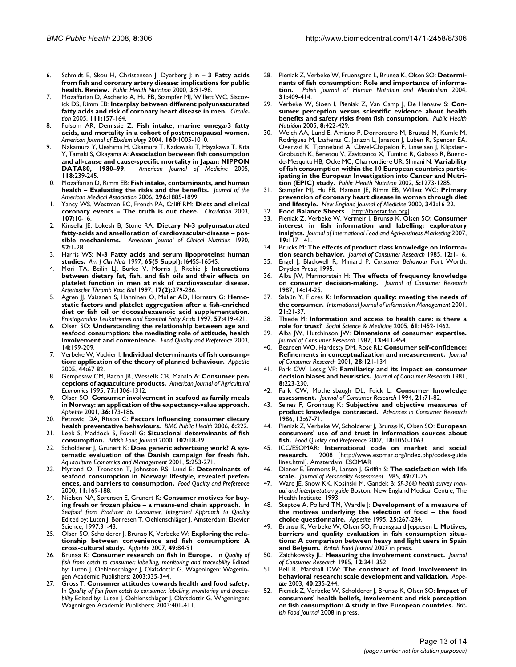- <span id="page-12-0"></span>6. Schmidt E, Skou H, Christensen J, Dyerberg J: **[n – 3 Fatty acids](http://www.ncbi.nlm.nih.gov/entrez/query.fcgi?cmd=Retrieve&db=PubMed&dopt=Abstract&list_uids=10786728) [from fish and coronary artery disease: implications for public](http://www.ncbi.nlm.nih.gov/entrez/query.fcgi?cmd=Retrieve&db=PubMed&dopt=Abstract&list_uids=10786728) [health. Review.](http://www.ncbi.nlm.nih.gov/entrez/query.fcgi?cmd=Retrieve&db=PubMed&dopt=Abstract&list_uids=10786728)** *Public Health Nutrition* 2000, **3:**91-98.
- <span id="page-12-1"></span>7. Mozaffarian D, Ascherio A, Hu FB, Stampfer MJ, Willett WC, Siscovick DS, Rimm EB: **[Interplay between different polyunsaturated](http://www.ncbi.nlm.nih.gov/entrez/query.fcgi?cmd=Retrieve&db=PubMed&dopt=Abstract&list_uids=15630029) [fatty acids and risk of coronary heart disease in men.](http://www.ncbi.nlm.nih.gov/entrez/query.fcgi?cmd=Retrieve&db=PubMed&dopt=Abstract&list_uids=15630029)** *Circulation* 2005, **111:**157-164.
- 8. Folsom AR, Demissie Z: **[Fish intake, marine omega-3 fatty](http://www.ncbi.nlm.nih.gov/entrez/query.fcgi?cmd=Retrieve&db=PubMed&dopt=Abstract&list_uids=15522857) [acids, and mortality in a cohort of postmenopausal women.](http://www.ncbi.nlm.nih.gov/entrez/query.fcgi?cmd=Retrieve&db=PubMed&dopt=Abstract&list_uids=15522857)** *American Journal of Epidemiology* 2004, **160:**1005-1010.
- 9. Nakamura Y, Ueshima H, Okamura T, Kadowaki T, Hayakawa T, Kita Y, Tamaki S, Okayama A: **[Association between fish consumption](http://www.ncbi.nlm.nih.gov/entrez/query.fcgi?cmd=Retrieve&db=PubMed&dopt=Abstract&list_uids=15745721) [and all-cause and cause-specific mortality in Japan: NIPPON](http://www.ncbi.nlm.nih.gov/entrez/query.fcgi?cmd=Retrieve&db=PubMed&dopt=Abstract&list_uids=15745721) [DATA80, 1980–99.](http://www.ncbi.nlm.nih.gov/entrez/query.fcgi?cmd=Retrieve&db=PubMed&dopt=Abstract&list_uids=15745721)** *American Journal of Medicine* 2005, **118:**239-245.
- <span id="page-12-2"></span>10. Mozaffarian D, Rimm EB: **[Fish intake, contaminants, and human](http://www.ncbi.nlm.nih.gov/entrez/query.fcgi?cmd=Retrieve&db=PubMed&dopt=Abstract&list_uids=17047219) [health – Evaluating the risks and the benefits.](http://www.ncbi.nlm.nih.gov/entrez/query.fcgi?cmd=Retrieve&db=PubMed&dopt=Abstract&list_uids=17047219)** *Journal of the American Medical Association* 2006, **296:**1885-1899.
- <span id="page-12-3"></span>11. Yancy WS, Westman EC, French PA, Califf RM: **[Diets and clinical](http://www.ncbi.nlm.nih.gov/entrez/query.fcgi?cmd=Retrieve&db=PubMed&dopt=Abstract&list_uids=12515734) [coronary events – The truth is out there.](http://www.ncbi.nlm.nih.gov/entrez/query.fcgi?cmd=Retrieve&db=PubMed&dopt=Abstract&list_uids=12515734)** *Circulation* 2003, **107:**10-16.
- <span id="page-12-4"></span>12. Kinsella JE, Lokesh B, Stone RA: **[Dietary N-3 polyunsaturated](http://www.ncbi.nlm.nih.gov/entrez/query.fcgi?cmd=Retrieve&db=PubMed&dopt=Abstract&list_uids=2193500) [fatty-acids and amelioration of cardiovascular-disease – pos](http://www.ncbi.nlm.nih.gov/entrez/query.fcgi?cmd=Retrieve&db=PubMed&dopt=Abstract&list_uids=2193500)[sible mechanisms.](http://www.ncbi.nlm.nih.gov/entrez/query.fcgi?cmd=Retrieve&db=PubMed&dopt=Abstract&list_uids=2193500)** *American Journal of Clinical Nutrition* 1990, **52:**1-28.
- <span id="page-12-5"></span>13. Harris WS: **[N-3 Fatty acids and serum lipoproteins: human](http://www.ncbi.nlm.nih.gov/entrez/query.fcgi?cmd=Retrieve&db=PubMed&dopt=Abstract&list_uids=9129504) [studies.](http://www.ncbi.nlm.nih.gov/entrez/query.fcgi?cmd=Retrieve&db=PubMed&dopt=Abstract&list_uids=9129504)** *Am J Clin Nutr* 1997, **65(5 Suppl):**1645S-1654S.
- <span id="page-12-6"></span>14. Mori TA, Beilin LJ, Burke V, Morris J, Ritchie J: **[Interactions](http://www.ncbi.nlm.nih.gov/entrez/query.fcgi?cmd=Retrieve&db=PubMed&dopt=Abstract&list_uids=9081682) [between dietary fat, fish, and fish oils and their effects on](http://www.ncbi.nlm.nih.gov/entrez/query.fcgi?cmd=Retrieve&db=PubMed&dopt=Abstract&list_uids=9081682) platelet function in men at risk of cardiovascular disease.** *Arterioscler Thromb Vasc Biol* 1997, **17(2):**279-286.
- <span id="page-12-7"></span>15. Agren *JJ*, Vaisanen S, Hanninen O, Muller AD, Hornstra G: Hemo**static factors and platelet aggregation after a fish-enriched diet or fish oil or docosahexaenoic acid supplementation.** *Prostaglandins Leukotrienes and Essential Fatty Acids* 1997, **57:**419-421.
- <span id="page-12-8"></span>16. Olsen SO: **Understanding the relationship between age and seafood consumption: the mediating role of attitude, health involvement and convenience.** *Food Quality and Preference* 2003, **14:**199-209.
- <span id="page-12-9"></span>17. Verbeke W, Vackier I: **[Individual determinants of fish consump](http://www.ncbi.nlm.nih.gov/entrez/query.fcgi?cmd=Retrieve&db=PubMed&dopt=Abstract&list_uids=15604034)[tion: application of the theory of planned behaviour.](http://www.ncbi.nlm.nih.gov/entrez/query.fcgi?cmd=Retrieve&db=PubMed&dopt=Abstract&list_uids=15604034)** *Appetite* 2005, **44:**67-82.
- <span id="page-12-10"></span>18. Gempesaw CM, Bacon JR, Wessells CR, Manalo A: **Consumer perceptions of aquaculture products.** *American Journal of Agricultural Economics* 1995, **77:**1306-1312.
- <span id="page-12-11"></span>19. Olsen SO: **[Consumer involvement in seafood as family meals](http://www.ncbi.nlm.nih.gov/entrez/query.fcgi?cmd=Retrieve&db=PubMed&dopt=Abstract&list_uids=11237353) [in Norway: an application of the expectancy-value approach.](http://www.ncbi.nlm.nih.gov/entrez/query.fcgi?cmd=Retrieve&db=PubMed&dopt=Abstract&list_uids=11237353)** *Appetite* 2001, **36:**173-186.
- <span id="page-12-12"></span>20. Petrovici DA, Ritson C: **[Factors influencing consumer dietary](http://www.ncbi.nlm.nih.gov/entrez/query.fcgi?cmd=Retrieve&db=PubMed&dopt=Abstract&list_uids=16948839) [health preventative behaviours.](http://www.ncbi.nlm.nih.gov/entrez/query.fcgi?cmd=Retrieve&db=PubMed&dopt=Abstract&list_uids=16948839)** *BMC Public Health* 2006, **6:**222.
- <span id="page-12-13"></span>21. Leek S, Maddock S, Foxall G: **Situational determinants of fish consumption.** *British Food Journal* 2000, **102:**18-39.
- 22. Scholderer J, Grunert K: **Does generic advertising work? A systematic evaluation of the Danish campaign for fresh fish.** *Aquaculture Economics and Management* 2001, **5:**253-271.
- 23. Myrland O, Trondsen T, Johnston RS, Lund E: **Determinants of seafood consumption in Norway: lifestyle, revealed preferences, and barriers to consumption.** *Food Quality and Preference* 2000, **11:**169-188.
- 24. Nielsen NA, Sørensen E, Grunert K: **Consumer motives for buying fresh or frozen plaice – a means-end chain approach.** In *Seafood from Producer to Consumer, Integrated Approach to Quality* Edited by: Luten J, Børresen T, Oehlenschläger J. Amsterdam: Elsevier Science; 1997:31-43.
- <span id="page-12-14"></span>25. Olsen SO, Scholderer J, Brunso K, Verbeke W: **[Exploring the rela](http://www.ncbi.nlm.nih.gov/entrez/query.fcgi?cmd=Retrieve&db=PubMed&dopt=Abstract&list_uids=17261344)[tionship between convenience and fish consumption: A](http://www.ncbi.nlm.nih.gov/entrez/query.fcgi?cmd=Retrieve&db=PubMed&dopt=Abstract&list_uids=17261344) [cross-cultural study.](http://www.ncbi.nlm.nih.gov/entrez/query.fcgi?cmd=Retrieve&db=PubMed&dopt=Abstract&list_uids=17261344)** *Appetite* 2007, **49:**84-91.
- <span id="page-12-15"></span>26. Brunsø K: **Consumer research on fish in Europe.** In *Quality of fish from catch to consumer: labelling, monitoring and traceability* Edited by: Luten J, Oehlenschlager J, Olafsdottir G. Wageningen: Wageningen Academic Publishers; 2003:335-344.
- <span id="page-12-40"></span>27. Gross T: **Consumer attitudes towards health and food safety.** In *Quality of fish from catch to consumer: labelling, monitoring and traceability* Edited by: Luten J, Oehlenschlager J, Olafsdottir G. Wageningen: Wageningen Academic Publishers; 2003:401-411.
- <span id="page-12-16"></span>28. Pieniak Z, Verbeke W, Fruensgard L, Brunsø K, Olsen SO: **Determinants of fish consumption: Role and importance of information.** *Polish Journal of Human Nutrition and Metabolism* 2004, **31:**409-414.
- <span id="page-12-17"></span>29. Verbeke W, Sioen I, Pieniak Z, Van Camp J, De Henauw S: **[Con](http://www.ncbi.nlm.nih.gov/entrez/query.fcgi?cmd=Retrieve&db=PubMed&dopt=Abstract&list_uids=15975189)[sumer perception versus scientific evidence about health](http://www.ncbi.nlm.nih.gov/entrez/query.fcgi?cmd=Retrieve&db=PubMed&dopt=Abstract&list_uids=15975189) [benefits and safety risks from fish consumption.](http://www.ncbi.nlm.nih.gov/entrez/query.fcgi?cmd=Retrieve&db=PubMed&dopt=Abstract&list_uids=15975189)** *Public Health Nutrition* 2005, **8:**422-429.
- <span id="page-12-18"></span>30. Welch AA, Lund E, Amiano P, Dorronsoro M, Brustad M, Kumle M, Rodriguez M, Lasheras C, Janzon L, Jansson J, Luben R, Spencer EA, Overvad K, Tjonneland A, Clavel-Chapelon F, Linseisen J, Klipstein-Grobusch K, Benetou V, Zavitsanos X, Tumino R, Galasso R, Buenode-Mesquita HB, Ocke MC, Charrondiere UR, Slimani N: **[Variability](http://www.ncbi.nlm.nih.gov/entrez/query.fcgi?cmd=Retrieve&db=PubMed&dopt=Abstract&list_uids=12639232) [of fish consumption within the 10 European countries partic](http://www.ncbi.nlm.nih.gov/entrez/query.fcgi?cmd=Retrieve&db=PubMed&dopt=Abstract&list_uids=12639232)ipating in the European Investigation into Cancer and Nutri[tion \(EPIC\) study.](http://www.ncbi.nlm.nih.gov/entrez/query.fcgi?cmd=Retrieve&db=PubMed&dopt=Abstract&list_uids=12639232)** *Public Health Nutrition* 2002, **5:**1273-1285.
- <span id="page-12-19"></span>31. Stampfer MJ, Hu FB, Manson JE, Rimm EB, Willett WC: **[Primary](http://www.ncbi.nlm.nih.gov/entrez/query.fcgi?cmd=Retrieve&db=PubMed&dopt=Abstract&list_uids=10882764) [prevention of coronary heart disease in women through diet](http://www.ncbi.nlm.nih.gov/entrez/query.fcgi?cmd=Retrieve&db=PubMed&dopt=Abstract&list_uids=10882764) [and lifestyle.](http://www.ncbi.nlm.nih.gov/entrez/query.fcgi?cmd=Retrieve&db=PubMed&dopt=Abstract&list_uids=10882764)** *New England Journal of Medicine* 2000, **343:**16-22.
- <span id="page-12-20"></span>32. **Food Balance Sheets** [\[http://faostat.fao.org\]](http://faostat.fao.org)
- <span id="page-12-21"></span>33. Pieniak Z, Verbeke W, Vermeir I, Brunsø K, Olsen SO: **Consumer interest in fish information and labelling: exploratory insights.** *Journal of International Food and Agri-business Marketing* 2007, **19:**117-141.
- <span id="page-12-22"></span>34. Brucks M: **The effects of product class knowledge on information search behavior.** *Journal of Consumer Research* 1985, **12:**1-16.
- <span id="page-12-23"></span>35. Engel J, Blackwell R, Miniard P: *Consumer Behaviour* Fort Worth: Dryden Press; 1995.
- <span id="page-12-24"></span>36. Alba JW, Marmorstein H: **The effects of frequency knowledge on consumer decision-making.** *Journal of Consumer Research* 1987, **14:**14-25.
- <span id="page-12-25"></span>37. Salaün Y, Flores K: **Information quality: meeting the needs of the consumer.** *International Journal of Information Management* 2001, **21:**21-37.
- <span id="page-12-26"></span>38. Thiede M: **Information and access to health care: is there a role for trust?** *Social Science & Medicine* 2005, **61:**1452-1462.
- <span id="page-12-27"></span>39. Alba JW, Hutchinson JW: **Dimensions of consumer expertise.** *Journal of Consumer Research* 1987, **13:**411-454.
- <span id="page-12-28"></span>40. Bearden WO, Hardesty DM, Rose RL: **Consumer self-confidence: Refinements in conceptualization and measurement.** *Journal of Consumer Research* 2001, **28:**121-134.
- 41. Park CW, Lessig VP: **Familiarity and its impact on consumer decision biases and heuristics.** *Journal of Consumer Research* 1981, **8:**223-230.
- <span id="page-12-29"></span>42. Park CW, Mothersbaugh DL, Feick L: **Consumer knowledge assessment.** *Journal of Consumer Research* 1994, **21:**71-82.
- <span id="page-12-30"></span>43. Selnes F, Gronhaug K: **Subjective and objective measures of product knowledge contrasted.** *Advances in Consumer Research* 1986, **13:**67-71.
- <span id="page-12-31"></span>44. Pieniak Z, Verbeke W, Scholderer J, Brunsø K, Olsen SO: **European consumers' use of and trust in information sources about fish.** *Food Quality and Preference* 2007, **18:**1050-1063.
- <span id="page-12-32"></span>45. ICC/ESOMAR: **International code on market and social research.** 2008 [\[http://www.esomar.org/index.php/codes-guide](http://www.esomar.org/index.php/codes-guidelines.html) [lines.html\]](http://www.esomar.org/index.php/codes-guidelines.html). Amsterdam: ESOMAR
- <span id="page-12-33"></span>46. Diener E, Emmons R, Larsen J, Griffin S: **[The satisfaction with life](http://www.ncbi.nlm.nih.gov/entrez/query.fcgi?cmd=Retrieve&db=PubMed&dopt=Abstract&list_uids=16367493) [scale.](http://www.ncbi.nlm.nih.gov/entrez/query.fcgi?cmd=Retrieve&db=PubMed&dopt=Abstract&list_uids=16367493)** *Journal of Personality Assessment* 1985, **49:**71-75.
- <span id="page-12-34"></span>47. Ware JE, Snow KK, Kosinski M, Gandek B: *SF-36® health survey manual and interpretation guide* Boston: New England Medical Centre, The Health Institute; 1993.
- <span id="page-12-35"></span>48. Steptoe A, Pollard TM, Wardle J: **[Development of a measure of](http://www.ncbi.nlm.nih.gov/entrez/query.fcgi?cmd=Retrieve&db=PubMed&dopt=Abstract&list_uids=8746966) [the motives underlying the selection of food – the food](http://www.ncbi.nlm.nih.gov/entrez/query.fcgi?cmd=Retrieve&db=PubMed&dopt=Abstract&list_uids=8746966) [choice questionnaire.](http://www.ncbi.nlm.nih.gov/entrez/query.fcgi?cmd=Retrieve&db=PubMed&dopt=Abstract&list_uids=8746966)** *Appetite* 1995, **25:**267-284.
- <span id="page-12-36"></span>49. Brunsø K, Verbeke W, Olsen SO, Fruensgaard Jeppesen L: **Motives, barriers and quality evaluation in fish consumption situations: A comparison between heavy and light users in Spain and Belgium.** *British Food Journal* 2007 in press.
- <span id="page-12-37"></span>50. Zaichkowsky JL: **Measuring the involvement construct.** *Journal of Consumer Research* 1985, **12:**341-352.
- <span id="page-12-38"></span>51. Bell R, Marshall DW: **[The construct of food involvement in](http://www.ncbi.nlm.nih.gov/entrez/query.fcgi?cmd=Retrieve&db=PubMed&dopt=Abstract&list_uids=12798781) [behavioral research: scale development and validation.](http://www.ncbi.nlm.nih.gov/entrez/query.fcgi?cmd=Retrieve&db=PubMed&dopt=Abstract&list_uids=12798781)** *Appetite* 2003, **40:**235-244.
- <span id="page-12-39"></span>52. Pieniak Z, Verbeke W, Scholderer J, Brunsø K, Olsen SO: **Impact of consumers' health beliefs, involvement and risk perception on fish consumption: A study in five European countries.** *British Food Journal* 2008 in press.